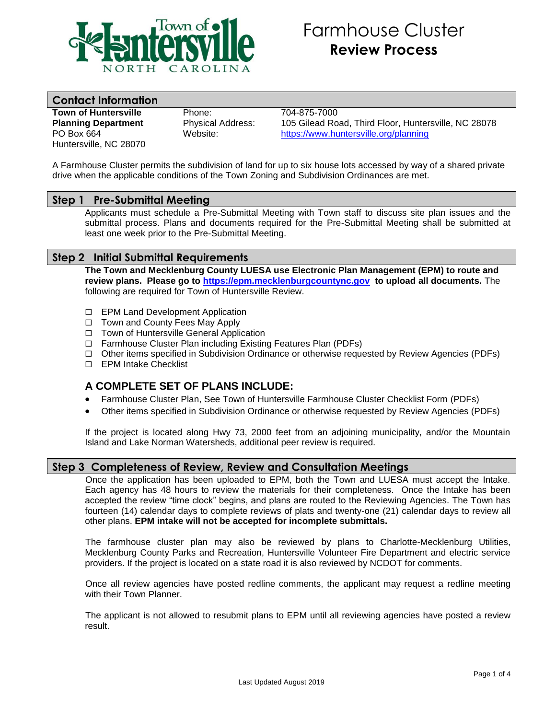

# Farmhouse Cluster **Review Process**

# **Contact Information**

**Town of Huntersville** Phone: 704-875-7000 Huntersville, NC 28070

**Planning Department** Physical Address: 105 Gilead Road, Third Floor, Huntersville, NC 28078 PO Box 664 Website: <https://www.huntersville.org/planning>

A Farmhouse Cluster permits the subdivision of land for up to six house lots accessed by way of a shared private drive when the applicable conditions of the Town Zoning and Subdivision Ordinances are met.

## **Step 1 Pre-Submittal Meeting**

Applicants must schedule a Pre-Submittal Meeting with Town staff to discuss site plan issues and the submittal process. Plans and documents required for the Pre-Submittal Meeting shall be submitted at least one week prior to the Pre-Submittal Meeting.

## **Step 2 Initial Submittal Requirements**

**The Town and Mecklenburg County LUESA use Electronic Plan Management (EPM) to route and review plans. Please go to [https://epm.mecklenburgcountync.gov](https://epm.mecklenburgcountync.gov/) to upload all documents.** The following are required for Town of Huntersville Review.

- □ EPM Land Development Application
- $\Box$  Town and County Fees May Apply
- □ Town of Huntersville General Application
- □ Farmhouse Cluster Plan including Existing Features Plan (PDFs)
- Other items specified in Subdivision Ordinance or otherwise requested by Review Agencies (PDFs)
- □ EPM Intake Checklist

## **A COMPLETE SET OF PLANS INCLUDE:**

- Farmhouse Cluster Plan, See Town of Huntersville Farmhouse Cluster Checklist Form (PDFs)
- Other items specified in Subdivision Ordinance or otherwise requested by Review Agencies (PDFs)

If the project is located along Hwy 73, 2000 feet from an adjoining municipality, and/or the Mountain Island and Lake Norman Watersheds, additional peer review is required.

## **Step 3 Completeness of Review, Review and Consultation Meetings**

Once the application has been uploaded to EPM, both the Town and LUESA must accept the Intake. Each agency has 48 hours to review the materials for their completeness. Once the Intake has been accepted the review "time clock" begins, and plans are routed to the Reviewing Agencies. The Town has fourteen (14) calendar days to complete reviews of plats and twenty-one (21) calendar days to review all other plans. **EPM intake will not be accepted for incomplete submittals.**

The farmhouse cluster plan may also be reviewed by plans to Charlotte-Mecklenburg Utilities, Mecklenburg County Parks and Recreation, Huntersville Volunteer Fire Department and electric service providers. If the project is located on a state road it is also reviewed by NCDOT for comments.

Once all review agencies have posted redline comments, the applicant may request a redline meeting with their Town Planner.

The applicant is not allowed to resubmit plans to EPM until all reviewing agencies have posted a review result.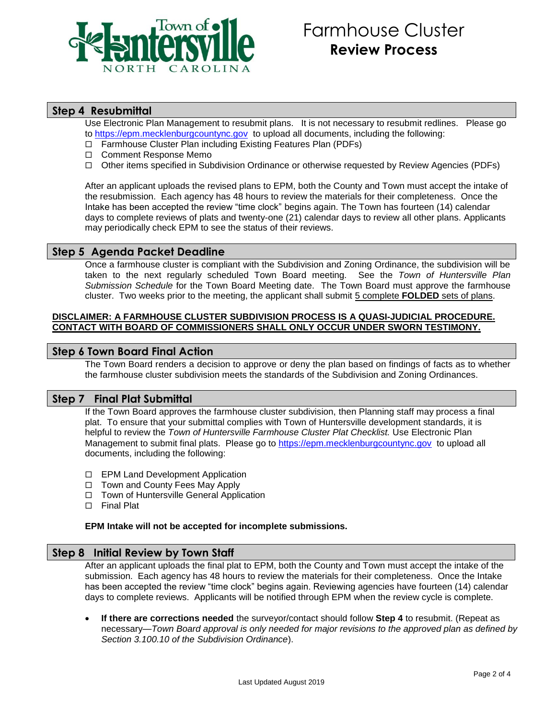

## **Step 4 Resubmittal**

Use Electronic Plan Management to resubmit plans. It is not necessary to resubmit redlines. Please go to [https://epm.mecklenburgcountync.gov](https://epm.mecklenburgcountync.gov/) to upload all documents, including the following:

- □ Farmhouse Cluster Plan including Existing Features Plan (PDFs)
- □ Comment Response Memo
- Other items specified in Subdivision Ordinance or otherwise requested by Review Agencies (PDFs)

After an applicant uploads the revised plans to EPM, both the County and Town must accept the intake of the resubmission. Each agency has 48 hours to review the materials for their completeness. Once the Intake has been accepted the review "time clock" begins again. The Town has fourteen (14) calendar days to complete reviews of plats and twenty-one (21) calendar days to review all other plans. Applicants may periodically check EPM to see the status of their reviews.

## **Step 5 Agenda Packet Deadline**

Once a farmhouse cluster is compliant with the Subdivision and Zoning Ordinance, the subdivision will be taken to the next regularly scheduled Town Board meeting. See the *Town of Huntersville Plan Submission Schedule* for the Town Board Meeting date. The Town Board must approve the farmhouse cluster. Two weeks prior to the meeting, the applicant shall submit 5 complete **FOLDED** sets of plans.

#### **DISCLAIMER: A FARMHOUSE CLUSTER SUBDIVISION PROCESS IS A QUASI-JUDICIAL PROCEDURE. CONTACT WITH BOARD OF COMMISSIONERS SHALL ONLY OCCUR UNDER SWORN TESTIMONY.**

#### **Step 6 Town Board Final Action**

The Town Board renders a decision to approve or deny the plan based on findings of facts as to whether the farmhouse cluster subdivision meets the standards of the Subdivision and Zoning Ordinances.

#### **Step 7 Final Plat Submittal**

If the Town Board approves the farmhouse cluster subdivision, then Planning staff may process a final plat. To ensure that your submittal complies with Town of Huntersville development standards, it is helpful to review the *Town of Huntersville Farmhouse Cluster Plat Checklist.* Use Electronic Plan Management to submit final plats. Please go to [https://epm.mecklenburgcountync.gov](https://epm.mecklenburgcountync.gov/) to upload all documents, including the following:

- □ EPM Land Development Application
- □ Town and County Fees May Apply
- □ Town of Huntersville General Application
- □ Final Plat

#### **EPM Intake will not be accepted for incomplete submissions.**

## **Step 8 Initial Review by Town Staff**

After an applicant uploads the final plat to EPM, both the County and Town must accept the intake of the submission. Each agency has 48 hours to review the materials for their completeness. Once the Intake has been accepted the review "time clock" begins again. Reviewing agencies have fourteen (14) calendar days to complete reviews. Applicants will be notified through EPM when the review cycle is complete.

 **If there are corrections needed** the surveyor/contact should follow **Step 4** to resubmit. (Repeat as necessary—*Town Board approval is only needed for major revisions to the approved plan as defined by Section 3.100.10 of the Subdivision Ordinance*).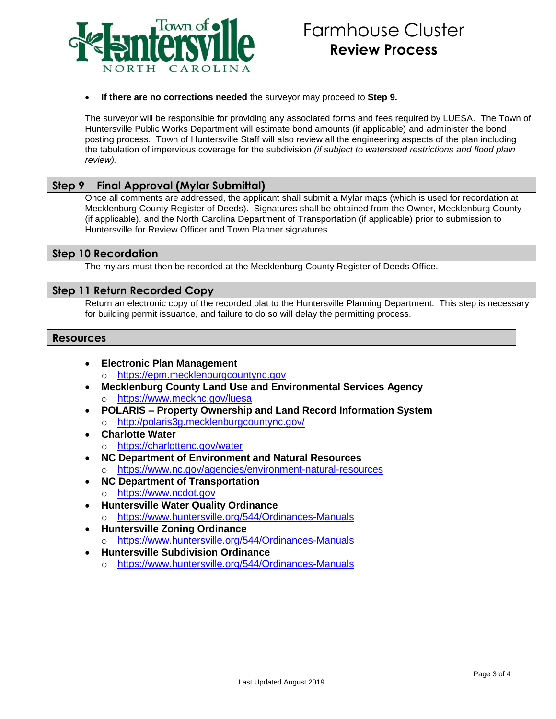

#### **If there are no corrections needed** the surveyor may proceed to **Step 9.**

The surveyor will be responsible for providing any associated forms and fees required by LUESA. The Town of Huntersville Public Works Department will estimate bond amounts (if applicable) and administer the bond posting process. Town of Huntersville Staff will also review all the engineering aspects of the plan including the tabulation of impervious coverage for the subdivision *(if subject to watershed restrictions and flood plain review).*

## **Step 9 Final Approval (Mylar Submittal)**

Once all comments are addressed, the applicant shall submit a Mylar maps (which is used for recordation at Mecklenburg County Register of Deeds). Signatures shall be obtained from the Owner, Mecklenburg County (if applicable), and the North Carolina Department of Transportation (if applicable) prior to submission to Huntersville for Review Officer and Town Planner signatures.

## **Step 10 Recordation**

The mylars must then be recorded at the Mecklenburg County Register of Deeds Office.

## **Step 11 Return Recorded Copy**

Return an electronic copy of the recorded plat to the Huntersville Planning Department. This step is necessary for building permit issuance, and failure to do so will delay the permitting process.

#### **Resources**

- **Electronic Plan Management** o [https://epm.mecklenburgcountync.gov](https://epm.mecklenburgcountync.gov/)
- **Mecklenburg County Land Use and Environmental Services Agency** o <https://www.mecknc.gov/luesa>
- **POLARIS – Property Ownership and Land Record Information System**
	- o <http://polaris3g.mecklenburgcountync.gov/>
- **Charlotte Water**
	- o <https://charlottenc.gov/water>
- **NC Department of Environment and Natural Resources**
	- <https://www.nc.gov/agencies/environment-natural-resources>
- **NC Department of Transportation**
	- o [https://www.ncdot.gov](https://www.ncdot.gov/)
- **Huntersville Water Quality Ordinance**
	- o <https://www.huntersville.org/544/Ordinances-Manuals>
- **Huntersville Zoning Ordinance**
	- o <https://www.huntersville.org/544/Ordinances-Manuals>
- **Huntersville Subdivision Ordinance**
	- o <https://www.huntersville.org/544/Ordinances-Manuals>